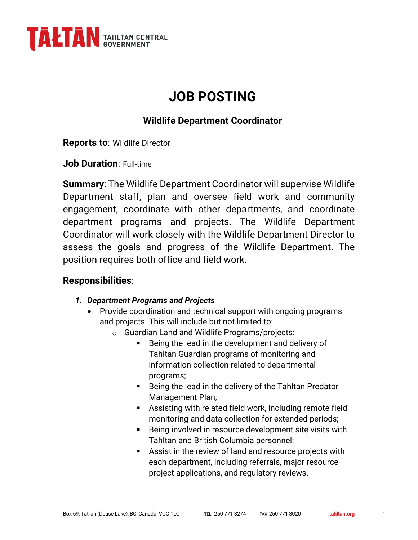

# **JOB POSTING**

## **Wildlife Department Coordinator**

**Reports to**: Wildlife Director

**Job Duration**: Full-time

**Summary**: The Wildlife Department Coordinator will supervise Wildlife Department staff, plan and oversee field work and community engagement, coordinate with other departments, and coordinate department programs and projects. The Wildlife Department Coordinator will work closely with the Wildlife Department Director to assess the goals and progress of the Wildlife Department. The position requires both office and field work.

### **Responsibilities**:

#### *1. Department Programs and Projects*

- Provide coordination and technical support with ongoing programs and projects. This will include but not limited to:
	- o Guardian Land and Wildlife Programs/projects:
		- Being the lead in the development and delivery of Tahltan Guardian programs of monitoring and information collection related to departmental programs;
		- Being the lead in the delivery of the Tahltan Predator Management Plan;
		- Assisting with related field work, including remote field monitoring and data collection for extended periods;
		- Being involved in resource development site visits with Tahltan and British Columbia personnel:
		- Assist in the review of land and resource projects with each department, including referrals, major resource project applications, and regulatory reviews.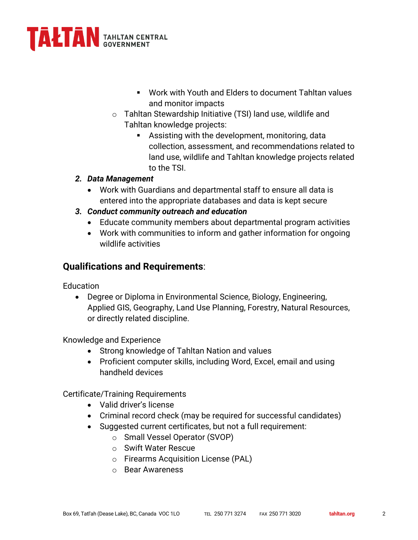

- § Work with Youth and Elders to document Tahltan values and monitor impacts
- o Tahltan Stewardship Initiative (TSI) land use, wildlife and Tahltan knowledge projects:
	- **EXECT** Assisting with the development, monitoring, data collection, assessment, and recommendations related to land use, wildlife and Tahltan knowledge projects related to the TSI.

#### *2. Data Management*

- Work with Guardians and departmental staff to ensure all data is entered into the appropriate databases and data is kept secure
- *3. Conduct community outreach and education*
	- Educate community members about departmental program activities
	- Work with communities to inform and gather information for ongoing wildlife activities

## **Qualifications and Requirements**:

Education

• Degree or Diploma in Environmental Science, Biology, Engineering, Applied GIS, Geography, Land Use Planning, Forestry, Natural Resources, or directly related discipline.

Knowledge and Experience

- Strong knowledge of Tahltan Nation and values
- Proficient computer skills, including Word, Excel, email and using handheld devices

Certificate/Training Requirements

- Valid driver's license
- Criminal record check (may be required for successful candidates)
- Suggested current certificates, but not a full requirement:
	- o Small Vessel Operator (SVOP)
	- o Swift Water Rescue
	- o Firearms Acquisition License (PAL)
	- o Bear Awareness